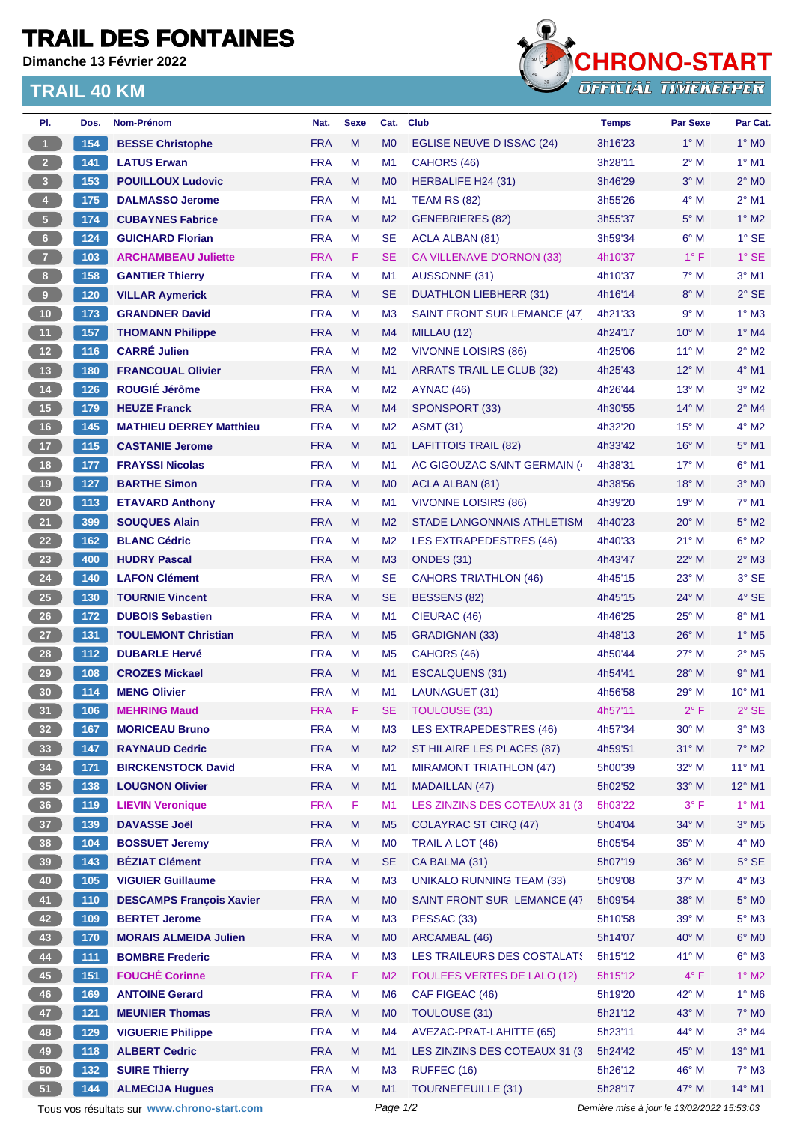## **TRAIL DES FONTAINES**

**Dimanche 13 Février 2022**

## **TRAIL 40 KM**



| PI.                     | Dos.  | Nom-Prénom                                  | Nat.       | <b>Sexe</b> | Cat.                                        | <b>Club</b>                      | <b>Temps</b> | <b>Par Sexe</b> | Par Cat.                   |
|-------------------------|-------|---------------------------------------------|------------|-------------|---------------------------------------------|----------------------------------|--------------|-----------------|----------------------------|
| $\blacktriangleleft$    | 154   | <b>BESSE Christophe</b>                     | <b>FRA</b> | M           | M <sub>0</sub>                              | EGLISE NEUVE D ISSAC (24)        | 3h16'23      | $1^\circ$ M     | $1^\circ$ MO               |
| $\overline{2}$          | 141   | <b>LATUS Erwan</b>                          | <b>FRA</b> | М           | M <sub>1</sub>                              | CAHORS (46)                      | 3h28'11      | $2^{\circ}$ M   | $1^\circ$ M1               |
| $\overline{\mathbf{3}}$ | 153   | <b>POUILLOUX Ludovic</b>                    | <b>FRA</b> | M           | M <sub>0</sub>                              | HERBALIFE H24 (31)               | 3h46'29      | $3^\circ$ M     | $2^\circ$ MO               |
| $\overline{4}$          | 175   | <b>DALMASSO Jerome</b>                      | <b>FRA</b> | М           | M1                                          | TEAM RS (82)                     | 3h55'26      | $4^\circ$ M     | $2^{\circ}$ M1             |
| $\sqrt{5}$              | 174   | <b>CUBAYNES Fabrice</b>                     | <b>FRA</b> | M           | M <sub>2</sub>                              | <b>GENEBRIERES (82)</b>          | 3h55'37      | $5^\circ$ M     | $1^\circ$ M2               |
| $\bf 6$                 | 124   | <b>GUICHARD Florian</b>                     | <b>FRA</b> | М           | <b>SE</b>                                   | ACLA ALBAN (81)                  | 3h59'34      | $6^\circ$ M     | $1^\circ$ SE               |
| $\overline{7}$          | 103   | <b>ARCHAMBEAU Juliette</b>                  | <b>FRA</b> | F.          | <b>SE</b>                                   | CA VILLENAVE D'ORNON (33)        | 4h10'37      | $1^\circ$ F     | $1^\circ$ SE               |
| 8 <sup>1</sup>          | 158   | <b>GANTIER Thierry</b>                      | <b>FRA</b> | М           | M <sub>1</sub>                              | AUSSONNE (31)                    | 4h10'37      | $7^\circ$ M     | $3^\circ$ M1               |
| $\overline{9}$          | 120   | <b>VILLAR Aymerick</b>                      | <b>FRA</b> | M           | <b>SE</b>                                   | <b>DUATHLON LIEBHERR (31)</b>    | 4h16'14      | $8^\circ$ M     | $2°$ SE                    |
| 10                      | 173   | <b>GRANDNER David</b>                       | <b>FRA</b> | М           | M <sub>3</sub>                              | SAINT FRONT SUR LEMANCE (47)     | 4h21'33      | 9° M            | $1^\circ$ M3               |
| 11                      | 157   | <b>THOMANN Philippe</b>                     | <b>FRA</b> | M           | M4                                          | MILLAU (12)                      | 4h24'17      | $10^{\circ}$ M  | $1^\circ$ M4               |
| 12                      | 116   | <b>CARRÉ Julien</b>                         | <b>FRA</b> | М           | M <sub>2</sub>                              | <b>VIVONNE LOISIRS (86)</b>      | 4h25'06      | $11^{\circ}$ M  | $2^{\circ}$ M2             |
| 13                      | 180   | <b>FRANCOUAL Olivier</b>                    | <b>FRA</b> | M           | M1                                          | <b>ARRATS TRAIL LE CLUB (32)</b> | 4h25'43      | $12^{\circ}$ M  | $4^\circ$ M1               |
| $14$                    | 126   | ROUGIÉ Jérôme                               | <b>FRA</b> | М           | M <sub>2</sub>                              | AYNAC (46)                       | 4h26'44      | $13^{\circ}$ M  | $3^\circ$ M2               |
| 15                      | 179   | <b>HEUZE Franck</b>                         | <b>FRA</b> | M           | M <sub>4</sub>                              | SPONSPORT (33)                   | 4h30'55      | $14^{\circ}$ M  | $2^{\circ}$ M4             |
| 16                      | 145   | <b>MATHIEU DERREY Matthieu</b>              | <b>FRA</b> | м           | M <sub>2</sub>                              | <b>ASMT (31)</b>                 | 4h32'20      | $15^{\circ}$ M  | $4^\circ$ M2               |
| $17$                    | 115   | <b>CASTANIE Jerome</b>                      | <b>FRA</b> | M           | M <sub>1</sub>                              | <b>LAFITTOIS TRAIL (82)</b>      | 4h33'42      | $16^{\circ}$ M  | $5^\circ$ M1               |
| 18                      | 177   | <b>FRAYSSI Nicolas</b>                      | <b>FRA</b> | М           | M <sub>1</sub>                              | AC GIGOUZAC SAINT GERMAIN (      | 4h38'31      | $17^{\circ}$ M  | $6°$ M1                    |
| 19                      | 127   | <b>BARTHE Simon</b>                         | <b>FRA</b> | M           | M <sub>0</sub>                              | ACLA ALBAN (81)                  | 4h38'56      | $18^{\circ}$ M  | $3°$ MO                    |
| ${\bf 20}$              | 113   | <b>ETAVARD Anthony</b>                      | <b>FRA</b> | М           | M <sub>1</sub>                              | <b>VIVONNE LOISIRS (86)</b>      | 4h39'20      | $19^{\circ}$ M  | $7^\circ$ M1               |
| 21                      | 399   | <b>SOUQUES Alain</b>                        | <b>FRA</b> | M           | M <sub>2</sub>                              | STADE LANGONNAIS ATHLETISM       | 4h40'23      | $20^\circ$ M    | $5^\circ$ M2               |
| 22                      | 162   | <b>BLANC Cédric</b>                         | <b>FRA</b> | М           | M <sub>2</sub>                              | LES EXTRAPEDESTRES (46)          | 4h40'33      | 21° M           | $6^\circ$ M2               |
| 23                      | 400   | <b>HUDRY Pascal</b>                         | <b>FRA</b> | M           | M <sub>3</sub>                              | <b>ONDES (31)</b>                | 4h43'47      | $22^{\circ}$ M  | $2^{\circ}$ M3             |
| 24                      | 140   | <b>LAFON Clément</b>                        | <b>FRA</b> | М           | <b>SE</b>                                   | <b>CAHORS TRIATHLON (46)</b>     | 4h45'15      | $23^{\circ}$ M  | $3°$ SE                    |
| 25                      | 130   | <b>TOURNIE Vincent</b>                      | <b>FRA</b> | M           | <b>SE</b>                                   | BESSENS (82)                     | 4h45'15      | 24° M           | $4^\circ$ SE               |
| $26\phantom{.}$         | 172   | <b>DUBOIS Sebastien</b>                     | <b>FRA</b> | М           | M1                                          | CIEURAC (46)                     | 4h46'25      | $25^{\circ}$ M  | 8° M1                      |
| 27                      | 131   | <b>TOULEMONT Christian</b>                  | <b>FRA</b> | M           | M <sub>5</sub>                              | <b>GRADIGNAN (33)</b>            | 4h48'13      | $26^{\circ}$ M  | $1^\circ$ M <sub>5</sub>   |
| 28                      | 112   | <b>DUBARLE Hervé</b>                        | <b>FRA</b> | М           | M <sub>5</sub>                              | CAHORS (46)                      | 4h50'44      | $27^\circ$ M    | $2^{\circ}$ M <sub>5</sub> |
| 29                      | 108   | <b>CROZES Mickael</b>                       | <b>FRA</b> | M           | M1                                          | ESCALQUENS (31)                  | 4h54'41      | 28° M           | $9°$ M1                    |
| 30                      | 114   | <b>MENG Olivier</b>                         | <b>FRA</b> | M           | M <sub>1</sub>                              | LAUNAGUET (31)                   | 4h56'58      | 29° M           | $10^{\circ}$ M1            |
| 31                      | 106   | <b>MEHRING Maud</b>                         | <b>FRA</b> | F           | <b>SE</b>                                   | TOULOUSE (31)                    | 4h57'11      | $2^{\circ}$ F   | $2^{\circ}$ SE             |
| 32 <sub>2</sub>         | 167   | <b>MORICEAU Bruno</b>                       | <b>FRA</b> | M           | M <sub>3</sub>                              | <b>LES EXTRAPEDESTRES (46)</b>   | 4h57'34      | $30^\circ$ M    | $3^\circ$ M3               |
| 33                      | $147$ | <b>RAYNAUD Cedric</b>                       | <b>FRA</b> | M           | M <sub>2</sub>                              | ST HILAIRE LES PLACES (87)       | 4h59'51      | $31^\circ$ M    | $7^\circ$ M2               |
| 34                      | 171   | <b>BIRCKENSTOCK David</b>                   | <b>FRA</b> | М           | M <sub>1</sub>                              | <b>MIRAMONT TRIATHLON (47)</b>   | 5h00'39      | 32° M           | 11° M1                     |
| 35                      | 138   | <b>LOUGNON Olivier</b>                      | <b>FRA</b> | M           | M1                                          | <b>MADAILLAN (47)</b>            | 5h02'52      | $33^\circ$ M    | $12^{\circ}$ M1            |
| 36                      | 119   | <b>LIEVIN Veronique</b>                     | <b>FRA</b> | F           | M1                                          | LES ZINZINS DES COTEAUX 31 (3)   | 5h03'22      | $3^{\circ}$ F   | $1^\circ$ M1               |
| 37 <sup>°</sup>         | 139   | <b>DAVASSE Joël</b>                         | <b>FRA</b> | M           | M <sub>5</sub>                              | <b>COLAYRAC ST CIRQ (47)</b>     | 5h04'04      | 34° M           | $3^\circ$ M5               |
| 38                      | 104   | <b>BOSSUET Jeremy</b>                       | <b>FRA</b> | M           | M <sub>0</sub>                              | TRAIL A LOT (46)                 | 5h05'54      | $35^\circ$ M    | $4^\circ$ MO               |
| 39                      | 143   | <b>BÉZIAT Clément</b>                       | <b>FRA</b> | M           | <b>SE</b>                                   | CA BALMA (31)                    | 5h07'19      | 36° M           | $5^\circ$ SE               |
| 40                      | 105   | <b>VIGUIER Guillaume</b>                    | <b>FRA</b> | M           | M <sub>3</sub>                              | <b>UNIKALO RUNNING TEAM (33)</b> | 5h09'08      | 37° M           | $4^\circ$ M3               |
| 41                      | 110   | <b>DESCAMPS François Xavier</b>             | <b>FRA</b> | M           | M <sub>0</sub>                              | SAINT FRONT SUR LEMANCE (47      | 5h09'54      | 38° M           | $5^\circ$ MO               |
| 42                      | 109   | <b>BERTET Jerome</b>                        | <b>FRA</b> | М           | M <sub>3</sub>                              | PESSAC (33)                      | 5h10'58      | 39° M           | $5^\circ$ M3               |
| 43                      | 170   | <b>MORAIS ALMEIDA Julien</b>                | <b>FRA</b> | M           | M <sub>0</sub>                              | ARCAMBAL (46)                    | 5h14'07      | 40° M           | $6^\circ$ MO               |
| 44                      | $111$ | <b>BOMBRE Frederic</b>                      | <b>FRA</b> | M           | M <sub>3</sub>                              | LES TRAILEURS DES COSTALATS      | 5h15'12      | 41° M           | $6^\circ$ M3               |
| 45                      | 151   | <b>FOUCHÉ Corinne</b>                       | <b>FRA</b> | F.          | M <sub>2</sub>                              | FOULEES VERTES DE LALO (12)      | 5h15'12      | $4^{\circ}$ F   | $1^\circ$ M2               |
| 46                      | 169   | <b>ANTOINE Gerard</b>                       | <b>FRA</b> | M           | M <sub>6</sub>                              | CAF FIGEAC (46)                  | 5h19'20      | 42° M           | $1^\circ$ M6               |
| 47                      | $121$ | <b>MEUNIER Thomas</b>                       | <b>FRA</b> | M           | M <sub>0</sub>                              | TOULOUSE (31)                    | 5h21'12      | 43° M           | $7^\circ$ MO               |
| 48                      | 129   | <b>VIGUERIE Philippe</b>                    | <b>FRA</b> | M           | M <sub>4</sub>                              | AVEZAC-PRAT-LAHITTE (65)         | 5h23'11      | 44° M           | $3°$ M4                    |
| 49                      | 118   | <b>ALBERT Cedric</b>                        | <b>FRA</b> | M           | M1                                          | LES ZINZINS DES COTEAUX 31 (3)   | 5h24'42      | 45° M           | 13° M1                     |
| ${\bf 50}$              | 132   | <b>SUIRE Thierry</b>                        | <b>FRA</b> | М           | M <sub>3</sub>                              | RUFFEC (16)                      | 5h26'12      | 46° M           | $7^\circ$ M3               |
| 51                      | 144   | <b>ALMECIJA Hugues</b>                      | <b>FRA</b> | M           | M1                                          | <b>TOURNEFEUILLE (31)</b>        | 5h28'17      | 47° M           | 14° M1                     |
|                         |       | Tous vos résultats sur www.chrono-start.com | Page 1/2   |             | Dernière mise à jour le 13/02/2022 15:53:03 |                                  |              |                 |                            |